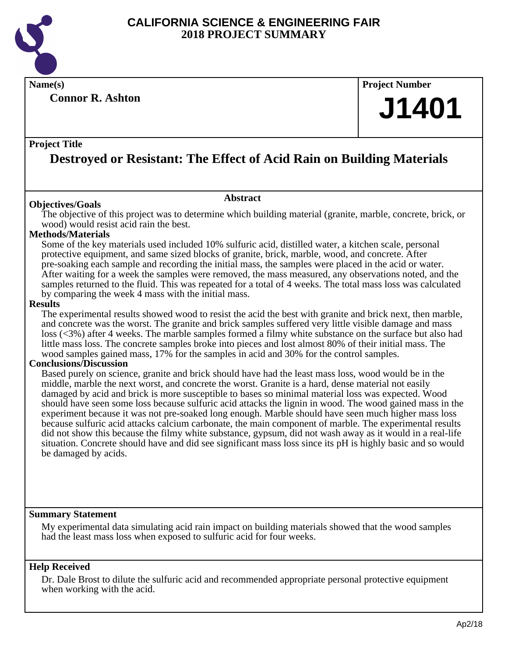

**Connor R. Ashton**

### **Name(s) Project Number**

## **J1401**

#### **Project Title**

## **Destroyed or Resistant: The Effect of Acid Rain on Building Materials**

#### **Abstract**

**Objectives/Goals** The objective of this project was to determine which building material (granite, marble, concrete, brick, or wood) would resist acid rain the best.

#### **Methods/Materials**

Some of the key materials used included 10% sulfuric acid, distilled water, a kitchen scale, personal protective equipment, and same sized blocks of granite, brick, marble, wood, and concrete. After pre-soaking each sample and recording the initial mass, the samples were placed in the acid or water. After waiting for a week the samples were removed, the mass measured, any observations noted, and the samples returned to the fluid. This was repeated for a total of 4 weeks. The total mass loss was calculated by comparing the week 4 mass with the initial mass.

#### **Results**

The experimental results showed wood to resist the acid the best with granite and brick next, then marble, and concrete was the worst. The granite and brick samples suffered very little visible damage and mass loss (<3%) after 4 weeks. The marble samples formed a filmy white substance on the surface but also had little mass loss. The concrete samples broke into pieces and lost almost 80% of their initial mass. The wood samples gained mass, 17% for the samples in acid and 30% for the control samples.

#### **Conclusions/Discussion**

Based purely on science, granite and brick should have had the least mass loss, wood would be in the middle, marble the next worst, and concrete the worst. Granite is a hard, dense material not easily damaged by acid and brick is more susceptible to bases so minimal material loss was expected. Wood should have seen some loss because sulfuric acid attacks the lignin in wood. The wood gained mass in the experiment because it was not pre-soaked long enough. Marble should have seen much higher mass loss because sulfuric acid attacks calcium carbonate, the main component of marble. The experimental results did not show this because the filmy white substance, gypsum, did not wash away as it would in a real-life situation. Concrete should have and did see significant mass loss since its pH is highly basic and so would be damaged by acids.

#### **Summary Statement**

My experimental data simulating acid rain impact on building materials showed that the wood samples had the least mass loss when exposed to sulfuric acid for four weeks.

#### **Help Received**

Dr. Dale Brost to dilute the sulfuric acid and recommended appropriate personal protective equipment when working with the acid.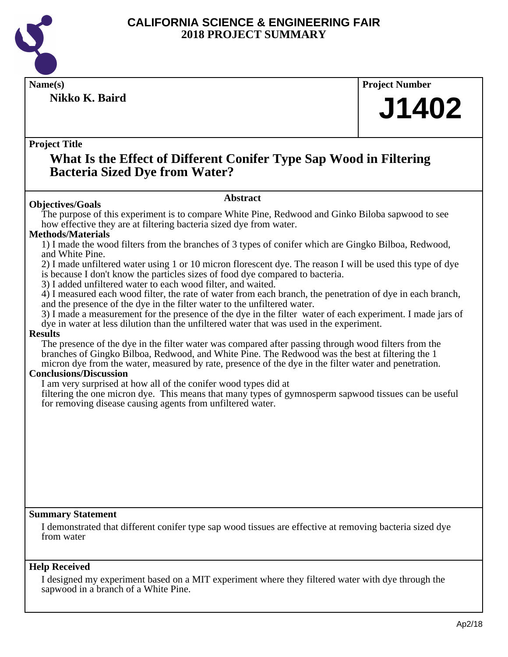

**Nikko K. Baird**

**Name(s) Project Number** 

# **J1402**

#### **Project Title**

### **What Is the Effect of Different Conifer Type Sap Wood in Filtering Bacteria Sized Dye from Water?**

#### **Abstract**

**Objectives/Goals** The purpose of this experiment is to compare White Pine, Redwood and Ginko Biloba sapwood to see how effective they are at filtering bacteria sized dye from water.

#### **Methods/Materials**

1) I made the wood filters from the branches of 3 types of conifer which are Gingko Bilboa, Redwood, and White Pine.

2) I made unfiltered water using 1 or 10 micron florescent dye. The reason I will be used this type of dye is because I don't know the particles sizes of food dye compared to bacteria.

3) I added unfiltered water to each wood filter, and waited.

4) I measured each wood filter, the rate of water from each branch, the penetration of dye in each branch, and the presence of the dye in the filter water to the unfiltered water.

3) I made a measurement for the presence of the dye in the filter water of each experiment. I made jars of dye in water at less dilution than the unfiltered water that was used in the experiment.

#### **Results**

The presence of the dye in the filter water was compared after passing through wood filters from the branches of Gingko Bilboa, Redwood, and White Pine. The Redwood was the best at filtering the 1 micron dye from the water, measured by rate, presence of the dye in the filter water and penetration.

#### **Conclusions/Discussion**

I am very surprised at how all of the conifer wood types did at

filtering the one micron dye. This means that many types of gymnosperm sapwood tissues can be useful for removing disease causing agents from unfiltered water.

#### **Summary Statement**

I demonstrated that different conifer type sap wood tissues are effective at removing bacteria sized dye from water

#### **Help Received**

I designed my experiment based on a MIT experiment where they filtered water with dye through the sapwood in a branch of a White Pine.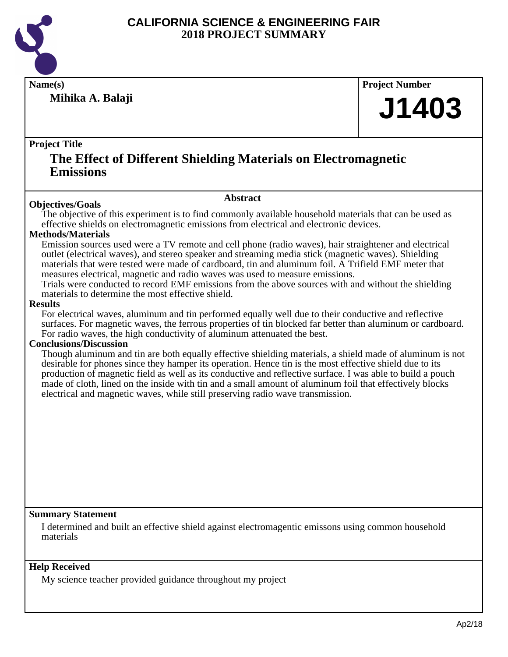

**Mihika A. Balaji**

**Name(s) Project Number**

# **J1403**

#### **Project Title**

## **The Effect of Different Shielding Materials on Electromagnetic Emissions**

#### **Abstract**

**Objectives/Goals** The objective of this experiment is to find commonly available household materials that can be used as effective shields on electromagnetic emissions from electrical and electronic devices.

#### **Methods/Materials**

Emission sources used were a TV remote and cell phone (radio waves), hair straightener and electrical outlet (electrical waves), and stereo speaker and streaming media stick (magnetic waves). Shielding materials that were tested were made of cardboard, tin and aluminum foil. A Trifield EMF meter that measures electrical, magnetic and radio waves was used to measure emissions.

Trials were conducted to record EMF emissions from the above sources with and without the shielding materials to determine the most effective shield.

#### **Results**

For electrical waves, aluminum and tin performed equally well due to their conductive and reflective surfaces. For magnetic waves, the ferrous properties of tin blocked far better than aluminum or cardboard. For radio waves, the high conductivity of aluminum attenuated the best.

#### **Conclusions/Discussion**

Though aluminum and tin are both equally effective shielding materials, a shield made of aluminum is not desirable for phones since they hamper its operation. Hence tin is the most effective shield due to its production of magnetic field as well as its conductive and reflective surface. I was able to build a pouch made of cloth, lined on the inside with tin and a small amount of aluminum foil that effectively blocks electrical and magnetic waves, while still preserving radio wave transmission.

#### **Summary Statement**

I determined and built an effective shield against electromagentic emissons using common household materials

#### **Help Received**

My science teacher provided guidance throughout my project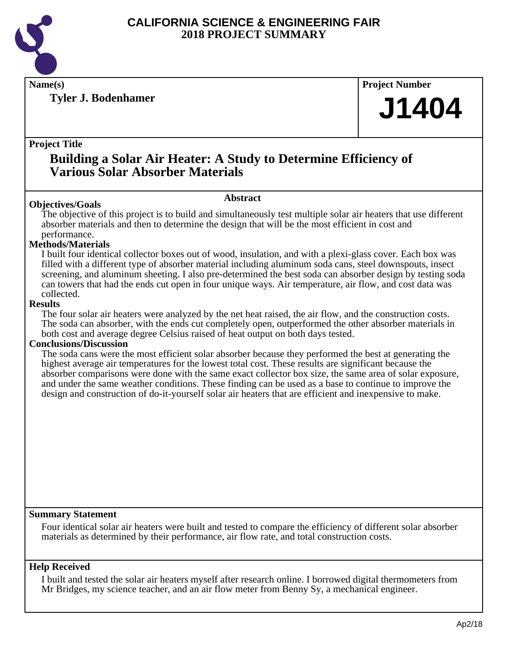

**Tyler J. Bodenhamer**

**Name(s) Project Number**

# **J1404**

#### **Project Title**

## **Building a Solar Air Heater: A Study to Determine Efficiency of Various Solar Absorber Materials**

#### **Abstract**

**Objectives/Goals** The objective of this project is to build and simultaneously test multiple solar air heaters that use different absorber materials and then to determine the design that will be the most efficient in cost and performance.

#### **Methods/Materials**

I built four identical collector boxes out of wood, insulation, and with a plexi-glass cover. Each box was filled with a different type of absorber material including aluminum soda cans, steel downspouts, insect screening, and aluminum sheeting. I also pre-determined the best soda can absorber design by testing soda can towers that had the ends cut open in four unique ways. Air temperature, air flow, and cost data was collected.

#### **Results**

The four solar air heaters were analyzed by the net heat raised, the air flow, and the construction costs. The soda can absorber, with the ends cut completely open, outperformed the other absorber materials in both cost and average degree Celsius raised of heat output on both days tested.

#### **Conclusions/Discussion**

The soda cans were the most efficient solar absorber because they performed the best at generating the highest average air temperatures for the lowest total cost. These results are significant because the absorber comparisons were done with the same exact collector box size, the same area of solar exposure, and under the same weather conditions. These finding can be used as a base to continue to improve the design and construction of do-it-yourself solar air heaters that are efficient and inexpensive to make.

#### **Summary Statement**

Four identical solar air heaters were built and tested to compare the efficiency of different solar absorber materials as determined by their performance, air flow rate, and total construction costs.

#### **Help Received**

I built and tested the solar air heaters myself after research online. I borrowed digital thermometers from Mr Bridges, my science teacher, and an air flow meter from Benny Sy, a mechanical engineer.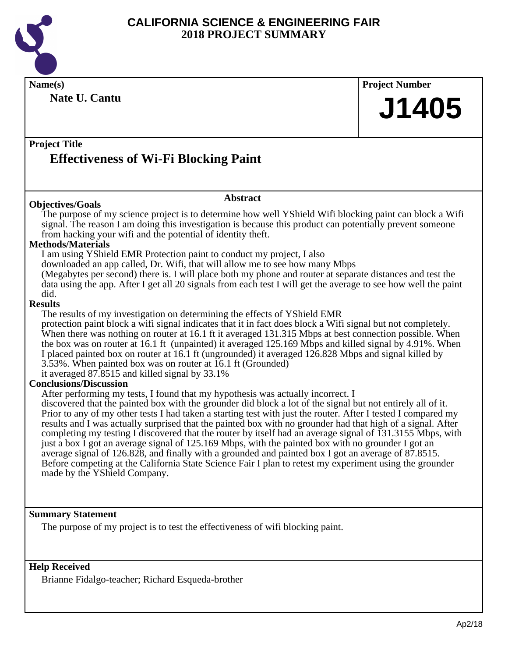

**Name(s) Project Number Project Title Abstract Summary Statement Help Received Nate U. Cantu Effectiveness of Wi-Fi Blocking Paint J1405 Objectives/Goals** The purpose of my science project is to determine how well YShield Wifi blocking paint can block a Wifi signal. The reason I am doing this investigation is because this product can potentially prevent someone from hacking your wifi and the potential of identity theft. **Methods/Materials** I am using YShield EMR Protection paint to conduct my project, I also downloaded an app called, Dr. Wifi, that will allow me to see how many Mbps (Megabytes per second) there is. I will place both my phone and router at separate distances and test the data using the app. After I get all 20 signals from each test I will get the average to see how well the paint did. **Results** The results of my investigation on determining the effects of YShield EMR protection paint block a wifi signal indicates that it in fact does block a Wifi signal but not completely. When there was nothing on router at 16.1 ft it averaged 131.315 Mbps at best connection possible. When the box was on router at 16.1 ft (unpainted) it averaged 125.169 Mbps and killed signal by 4.91%. When I placed painted box on router at 16.1 ft (ungrounded) it averaged 126.828 Mbps and signal killed by 3.53%. When painted box was on router at 16.1 ft (Grounded) it averaged 87.8515 and killed signal by 33.1% **Conclusions/Discussion** After performing my tests, I found that my hypothesis was actually incorrect. I discovered that the painted box with the grounder did block a lot of the signal but not entirely all of it. Prior to any of my other tests I had taken a starting test with just the router. After I tested I compared my results and I was actually surprised that the painted box with no grounder had that high of a signal. After completing my testing I discovered that the router by itself had an average signal of 131.3155 Mbps, with just a box I got an average signal of 125.169 Mbps, with the painted box with no grounder I got an average signal of 126.828, and finally with a grounded and painted box I got an average of 87.8515. Before competing at the California State Science Fair I plan to retest my experiment using the grounder made by the YShield Company. The purpose of my project is to test the effectiveness of wifi blocking paint.

Brianne Fidalgo-teacher; Richard Esqueda-brother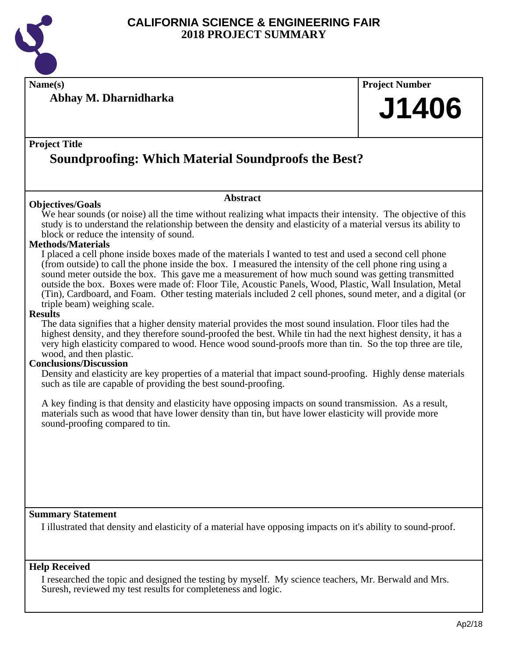

**Name(s) Project Number**

**Abhay M. Dharnidharka**

# **J1406**

#### **Project Title**

## **Soundproofing: Which Material Soundproofs the Best?**

#### **Objectives/Goals**

We hear sounds (or noise) all the time without realizing what impacts their intensity. The objective of this study is to understand the relationship between the density and elasticity of a material versus its ability to block or reduce the intensity of sound.

**Abstract**

#### **Methods/Materials**

I placed a cell phone inside boxes made of the materials I wanted to test and used a second cell phone (from outside) to call the phone inside the box. I measured the intensity of the cell phone ring using a sound meter outside the box. This gave me a measurement of how much sound was getting transmitted outside the box. Boxes were made of: Floor Tile, Acoustic Panels, Wood, Plastic, Wall Insulation, Metal (Tin), Cardboard, and Foam. Other testing materials included 2 cell phones, sound meter, and a digital (or triple beam) weighing scale.

#### **Results**

The data signifies that a higher density material provides the most sound insulation. Floor tiles had the highest density, and they therefore sound-proofed the best. While tin had the next highest density, it has a very high elasticity compared to wood. Hence wood sound-proofs more than tin. So the top three are tile, wood, and then plastic.

#### **Conclusions/Discussion**

Density and elasticity are key properties of a material that impact sound-proofing. Highly dense materials such as tile are capable of providing the best sound-proofing.

A key finding is that density and elasticity have opposing impacts on sound transmission. As a result, materials such as wood that have lower density than tin, but have lower elasticity will provide more sound-proofing compared to tin.

#### **Summary Statement**

I illustrated that density and elasticity of a material have opposing impacts on it's ability to sound-proof.

#### **Help Received**

I researched the topic and designed the testing by myself. My science teachers, Mr. Berwald and Mrs. Suresh, reviewed my test results for completeness and logic.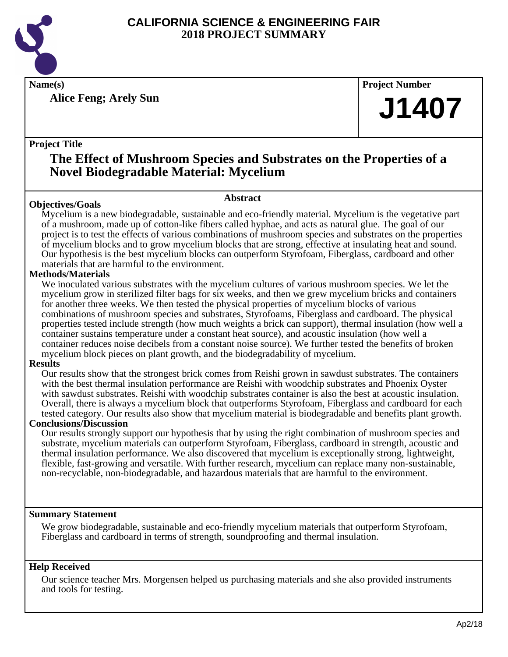

**Alice Feng; Arely Sun**

**Name(s) Project Number**

# **J1407**

#### **Project Title**

## **The Effect of Mushroom Species and Substrates on the Properties of a Novel Biodegradable Material: Mycelium**

#### **Abstract**

**Objectives/Goals** Mycelium is a new biodegradable, sustainable and eco-friendly material. Mycelium is the vegetative part of a mushroom, made up of cotton-like fibers called hyphae, and acts as natural glue. The goal of our project is to test the effects of various combinations of mushroom species and substrates on the properties of mycelium blocks and to grow mycelium blocks that are strong, effective at insulating heat and sound. Our hypothesis is the best mycelium blocks can outperform Styrofoam, Fiberglass, cardboard and other materials that are harmful to the environment.

#### **Methods/Materials**

We inoculated various substrates with the mycelium cultures of various mushroom species. We let the mycelium grow in sterilized filter bags for six weeks, and then we grew mycelium bricks and containers for another three weeks. We then tested the physical properties of mycelium blocks of various combinations of mushroom species and substrates, Styrofoams, Fiberglass and cardboard. The physical properties tested include strength (how much weights a brick can support), thermal insulation (how well a container sustains temperature under a constant heat source), and acoustic insulation (how well a container reduces noise decibels from a constant noise source). We further tested the benefits of broken mycelium block pieces on plant growth, and the biodegradability of mycelium.

#### **Results**

Our results show that the strongest brick comes from Reishi grown in sawdust substrates. The containers with the best thermal insulation performance are Reishi with woodchip substrates and Phoenix Oyster with sawdust substrates. Reishi with woodchip substrates container is also the best at acoustic insulation. Overall, there is always a mycelium block that outperforms Styrofoam, Fiberglass and cardboard for each tested category. Our results also show that mycelium material is biodegradable and benefits plant growth.

#### **Conclusions/Discussion**

Our results strongly support our hypothesis that by using the right combination of mushroom species and substrate, mycelium materials can outperform Styrofoam, Fiberglass, cardboard in strength, acoustic and thermal insulation performance. We also discovered that mycelium is exceptionally strong, lightweight, flexible, fast-growing and versatile. With further research, mycelium can replace many non-sustainable, non-recyclable, non-biodegradable, and hazardous materials that are harmful to the environment.

#### **Summary Statement**

We grow biodegradable, sustainable and eco-friendly mycelium materials that outperform Styrofoam, Fiberglass and cardboard in terms of strength, soundproofing and thermal insulation.

#### **Help Received**

Our science teacher Mrs. Morgensen helped us purchasing materials and she also provided instruments and tools for testing.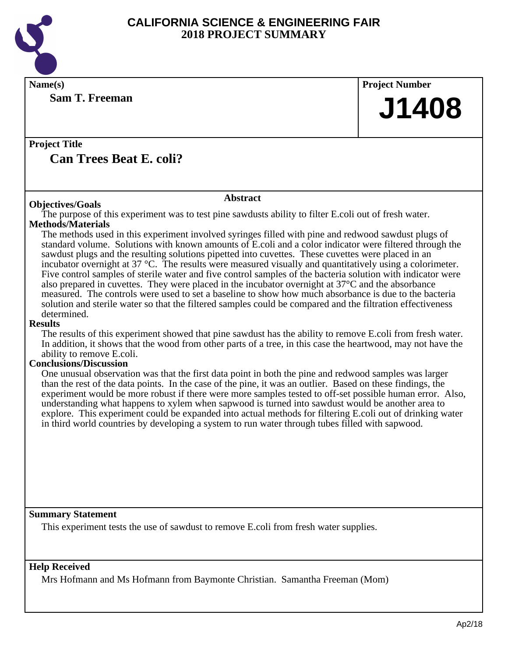

**Sam T. Freeman**

**Name(s) Project Number J1408**

**Project Title Can Trees Beat E. coli?**

#### **Abstract**

**Objectives/Goals** The purpose of this experiment was to test pine sawdusts ability to filter E.coli out of fresh water. **Methods/Materials**

The methods used in this experiment involved syringes filled with pine and redwood sawdust plugs of standard volume. Solutions with known amounts of E.coli and a color indicator were filtered through the sawdust plugs and the resulting solutions pipetted into cuvettes. These cuvettes were placed in an incubator overnight at 37 °C. The results were measured visually and quantitatively using a colorimeter. Five control samples of sterile water and five control samples of the bacteria solution with indicator were also prepared in cuvettes. They were placed in the incubator overnight at 37°C and the absorbance measured. The controls were used to set a baseline to show how much absorbance is due to the bacteria solution and sterile water so that the filtered samples could be compared and the filtration effectiveness determined.

#### **Results**

The results of this experiment showed that pine sawdust has the ability to remove E.coli from fresh water. In addition, it shows that the wood from other parts of a tree, in this case the heartwood, may not have the ability to remove E.coli.

#### **Conclusions/Discussion**

One unusual observation was that the first data point in both the pine and redwood samples was larger than the rest of the data points. In the case of the pine, it was an outlier. Based on these findings, the experiment would be more robust if there were more samples tested to off-set possible human error. Also, understanding what happens to xylem when sapwood is turned into sawdust would be another area to explore. This experiment could be expanded into actual methods for filtering E.coli out of drinking water in third world countries by developing a system to run water through tubes filled with sapwood.

**Summary Statement**

This experiment tests the use of sawdust to remove E.coli from fresh water supplies.

#### **Help Received**

Mrs Hofmann and Ms Hofmann from Baymonte Christian. Samantha Freeman (Mom)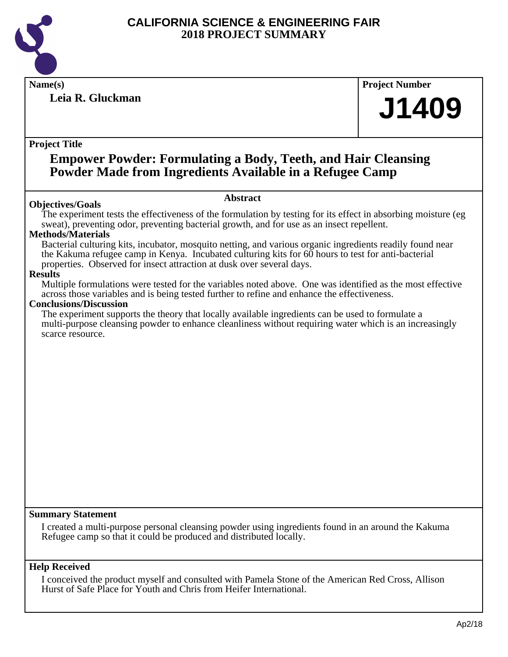

**Leia R. Gluckman**

**Name(s) Project Number**

# **J1409**

#### **Project Title**

## **Empower Powder: Formulating a Body, Teeth, and Hair Cleansing Powder Made from Ingredients Available in a Refugee Camp**

#### **Objectives/Goals**

#### **Abstract**

The experiment tests the effectiveness of the formulation by testing for its effect in absorbing moisture (eg sweat), preventing odor, preventing bacterial growth, and for use as an insect repellent.

#### **Methods/Materials**

Bacterial culturing kits, incubator, mosquito netting, and various organic ingredients readily found near the Kakuma refugee camp in Kenya. Incubated culturing kits for 60 hours to test for anti-bacterial properties. Observed for insect attraction at dusk over several days.

#### **Results**

Multiple formulations were tested for the variables noted above. One was identified as the most effective across those variables and is being tested further to refine and enhance the effectiveness.

#### **Conclusions/Discussion**

The experiment supports the theory that locally available ingredients can be used to formulate a multi-purpose cleansing powder to enhance cleanliness without requiring water which is an increasingly scarce resource.

#### **Summary Statement**

I created a multi-purpose personal cleansing powder using ingredients found in an around the Kakuma Refugee camp so that it could be produced and distributed locally.

#### **Help Received**

I conceived the product myself and consulted with Pamela Stone of the American Red Cross, Allison Hurst of Safe Place for Youth and Chris from Heifer International.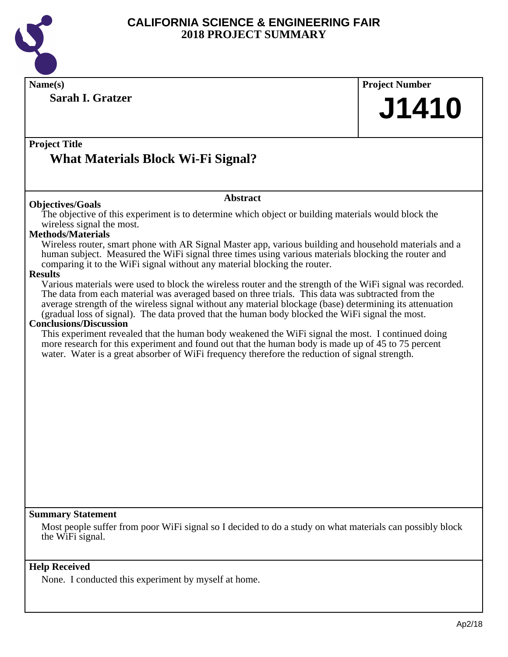

|                                                                                                                                                                                                                                                                                                                                                                                                                                                                                                                                                                                                                                                                                                                                                                                                                                                                                                                                                                                                                                                                                                                                                                                                                                                              | <b>Project Number</b> |
|--------------------------------------------------------------------------------------------------------------------------------------------------------------------------------------------------------------------------------------------------------------------------------------------------------------------------------------------------------------------------------------------------------------------------------------------------------------------------------------------------------------------------------------------------------------------------------------------------------------------------------------------------------------------------------------------------------------------------------------------------------------------------------------------------------------------------------------------------------------------------------------------------------------------------------------------------------------------------------------------------------------------------------------------------------------------------------------------------------------------------------------------------------------------------------------------------------------------------------------------------------------|-----------------------|
| <b>Sarah I. Gratzer</b>                                                                                                                                                                                                                                                                                                                                                                                                                                                                                                                                                                                                                                                                                                                                                                                                                                                                                                                                                                                                                                                                                                                                                                                                                                      | J1410                 |
| <b>Project Title</b><br><b>What Materials Block Wi-Fi Signal?</b>                                                                                                                                                                                                                                                                                                                                                                                                                                                                                                                                                                                                                                                                                                                                                                                                                                                                                                                                                                                                                                                                                                                                                                                            |                       |
| <b>Abstract</b><br><b>Objectives/Goals</b>                                                                                                                                                                                                                                                                                                                                                                                                                                                                                                                                                                                                                                                                                                                                                                                                                                                                                                                                                                                                                                                                                                                                                                                                                   |                       |
| The objective of this experiment is to determine which object or building materials would block the<br>wireless signal the most.<br><b>Methods/Materials</b><br>Wireless router, smart phone with AR Signal Master app, various building and household materials and a<br>human subject. Measured the WiFi signal three times using various materials blocking the router and<br>comparing it to the WiFi signal without any material blocking the router.<br><b>Results</b><br>Various materials were used to block the wireless router and the strength of the WiFi signal was recorded.<br>The data from each material was averaged based on three trials. This data was subtracted from the<br>average strength of the wireless signal without any material blockage (base) determining its attenuation<br>(gradual loss of signal). The data proved that the human body blocked the WiFi signal the most.<br><b>Conclusions/Discussion</b><br>This experiment revealed that the human body weakened the WiFi signal the most. I continued doing<br>more research for this experiment and found out that the human body is made up of 45 to 75 percent<br>water. Water is a great absorber of WiFi frequency therefore the reduction of signal strength. |                       |
|                                                                                                                                                                                                                                                                                                                                                                                                                                                                                                                                                                                                                                                                                                                                                                                                                                                                                                                                                                                                                                                                                                                                                                                                                                                              |                       |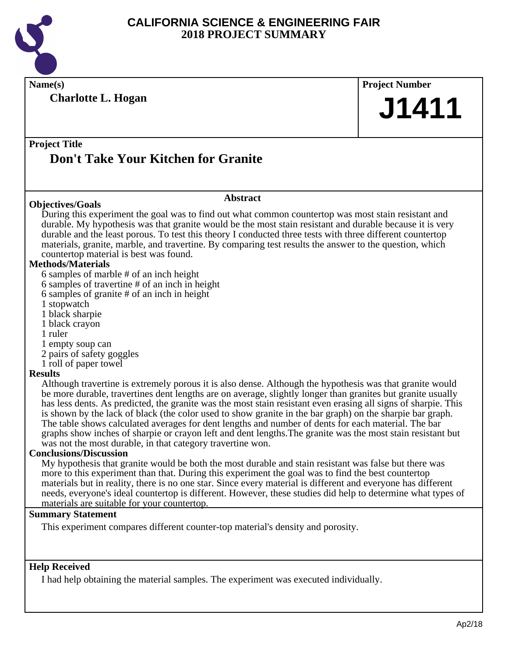

**Name(s) Project Number Project Title Abstract Summary Statement Help Received Charlotte L. Hogan Don't Take Your Kitchen for Granite J1411 Objectives/Goals** During this experiment the goal was to find out what common countertop was most stain resistant and durable. My hypothesis was that granite would be the most stain resistant and durable because it is very durable and the least porous. To test this theory I conducted three tests with three different countertop materials, granite, marble, and travertine. By comparing test results the answer to the question, which countertop material is best was found. **Methods/Materials** 6 samples of marble # of an inch height 6 samples of travertine # of an inch in height 6 samples of granite # of an inch in height 1 stopwatch 1 black sharpie 1 black crayon 1 ruler 1 empty soup can 2 pairs of safety goggles 1 roll of paper towel **Results** Although travertine is extremely porous it is also dense. Although the hypothesis was that granite would be more durable, travertines dent lengths are on average, slightly longer than granites but granite usually has less dents. As predicted, the granite was the most stain resistant even erasing all signs of sharpie. This is shown by the lack of black (the color used to show granite in the bar graph) on the sharpie bar graph. The table shows calculated averages for dent lengths and number of dents for each material. The bar graphs show inches of sharpie or crayon left and dent lengths.The granite was the most stain resistant but was not the most durable, in that category travertine won. **Conclusions/Discussion** My hypothesis that granite would be both the most durable and stain resistant was false but there was more to this experiment than that. During this experiment the goal was to find the best countertop materials but in reality, there is no one star. Since every material is different and everyone has different needs, everyone's ideal countertop is different. However, these studies did help to determine what types of materials are suitable for your countertop. This experiment compares different counter-top material's density and porosity.

I had help obtaining the material samples. The experiment was executed individually.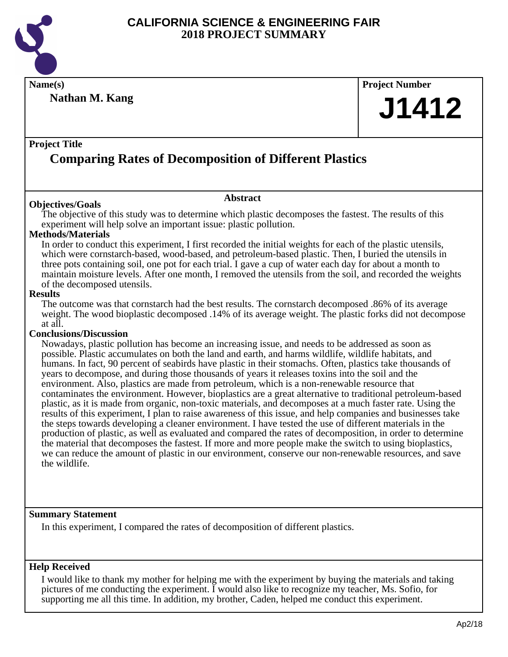

**Name(s) Project Number**

**Nathan M. Kang**

# **J1412**

#### **Project Title**

## **Comparing Rates of Decomposition of Different Plastics**

#### **Objectives/Goals**

**Abstract**

The objective of this study was to determine which plastic decomposes the fastest. The results of this experiment will help solve an important issue: plastic pollution.

#### **Methods/Materials**

In order to conduct this experiment, I first recorded the initial weights for each of the plastic utensils, which were cornstarch-based, wood-based, and petroleum-based plastic. Then, I buried the utensils in three pots containing soil, one pot for each trial. I gave a cup of water each day for about a month to maintain moisture levels. After one month, I removed the utensils from the soil, and recorded the weights of the decomposed utensils.

#### **Results**

The outcome was that cornstarch had the best results. The cornstarch decomposed .86% of its average weight. The wood bioplastic decomposed .14% of its average weight. The plastic forks did not decompose at all.

#### **Conclusions/Discussion**

Nowadays, plastic pollution has become an increasing issue, and needs to be addressed as soon as possible. Plastic accumulates on both the land and earth, and harms wildlife, wildlife habitats, and humans. In fact, 90 percent of seabirds have plastic in their stomachs. Often, plastics take thousands of years to decompose, and during those thousands of years it releases toxins into the soil and the environment. Also, plastics are made from petroleum, which is a non-renewable resource that contaminates the environment. However, bioplastics are a great alternative to traditional petroleum-based plastic, as it is made from organic, non-toxic materials, and decomposes at a much faster rate. Using the results of this experiment, I plan to raise awareness of this issue, and help companies and businesses take the steps towards developing a cleaner environment. I have tested the use of different materials in the production of plastic, as well as evaluated and compared the rates of decomposition, in order to determine the material that decomposes the fastest. If more and more people make the switch to using bioplastics, we can reduce the amount of plastic in our environment, conserve our non-renewable resources, and save the wildlife.

#### **Summary Statement**

In this experiment, I compared the rates of decomposition of different plastics.

#### **Help Received**

I would like to thank my mother for helping me with the experiment by buying the materials and taking pictures of me conducting the experiment. I would also like to recognize my teacher, Ms. Sofio, for supporting me all this time. In addition, my brother, Caden, helped me conduct this experiment.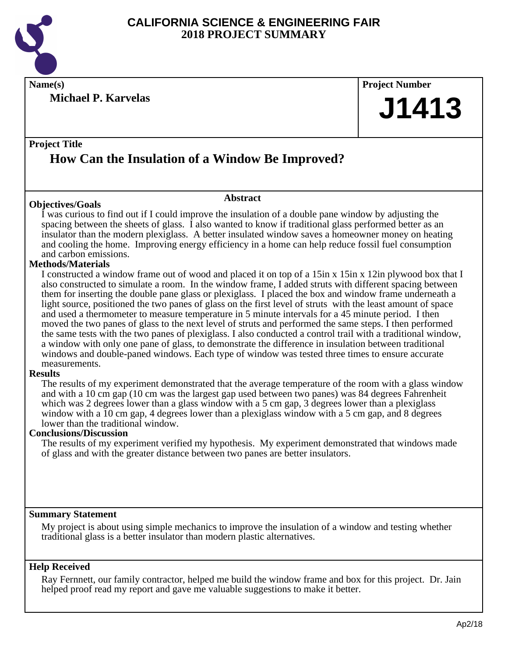

**Michael P. Karvelas**



#### **Project Title**

## **How Can the Insulation of a Window Be Improved?**

#### **Objectives/Goals**

**Abstract**

I was curious to find out if I could improve the insulation of a double pane window by adjusting the spacing between the sheets of glass. I also wanted to know if traditional glass performed better as an insulator than the modern plexiglass. A better insulated window saves a homeowner money on heating and cooling the home. Improving energy efficiency in a home can help reduce fossil fuel consumption and carbon emissions.

#### **Methods/Materials**

I constructed a window frame out of wood and placed it on top of a 15in x 15in x 12in plywood box that I also constructed to simulate a room. In the window frame, I added struts with different spacing between them for inserting the double pane glass or plexiglass. I placed the box and window frame underneath a light source, positioned the two panes of glass on the first level of struts with the least amount of space and used a thermometer to measure temperature in 5 minute intervals for a 45 minute period. I then moved the two panes of glass to the next level of struts and performed the same steps. I then performed the same tests with the two panes of plexiglass. I also conducted a control trail with a traditional window, a window with only one pane of glass, to demonstrate the difference in insulation between traditional windows and double-paned windows. Each type of window was tested three times to ensure accurate measurements.

#### **Results**

The results of my experiment demonstrated that the average temperature of the room with a glass window and with a 10 cm gap (10 cm was the largest gap used between two panes) was 84 degrees Fahrenheit which was 2 degrees lower than a glass window with a 5 cm gap, 3 degrees lower than a plexiglass window with a 10 cm gap, 4 degrees lower than a plexiglass window with a 5 cm gap, and 8 degrees lower than the traditional window.

#### **Conclusions/Discussion**

The results of my experiment verified my hypothesis. My experiment demonstrated that windows made of glass and with the greater distance between two panes are better insulators.

#### **Summary Statement**

My project is about using simple mechanics to improve the insulation of a window and testing whether traditional glass is a better insulator than modern plastic alternatives.

#### **Help Received**

Ray Fernnett, our family contractor, helped me build the window frame and box for this project. Dr. Jain helped proof read my report and gave me valuable suggestions to make it better.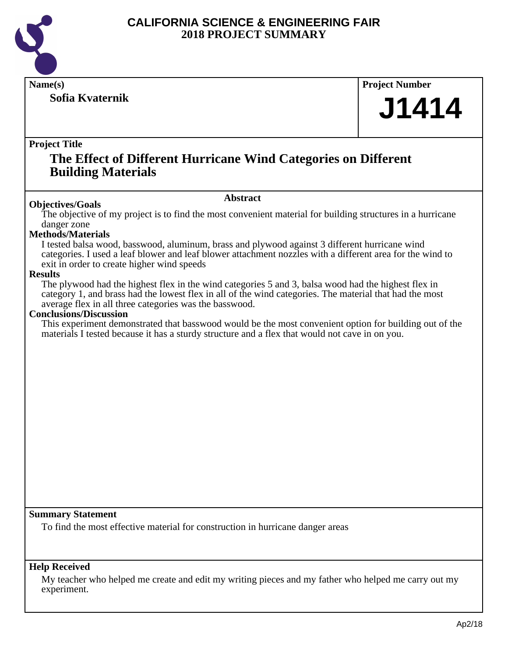

**Name(s) Project Number**

**Sofia Kvaternik**

**J1414**

#### **Project Title**

## **The Effect of Different Hurricane Wind Categories on Different Building Materials**

#### **Abstract**

**Objectives/Goals** The objective of my project is to find the most convenient material for building structures in a hurricane danger zone

#### **Methods/Materials**

I tested balsa wood, basswood, aluminum, brass and plywood against 3 different hurricane wind categories. I used a leaf blower and leaf blower attachment nozzles with a different area for the wind to exit in order to create higher wind speeds

#### **Results**

The plywood had the highest flex in the wind categories 5 and 3, balsa wood had the highest flex in category 1, and brass had the lowest flex in all of the wind categories. The material that had the most average flex in all three categories was the basswood.

#### **Conclusions/Discussion**

This experiment demonstrated that basswood would be the most convenient option for building out of the materials I tested because it has a sturdy structure and a flex that would not cave in on you.

#### **Summary Statement**

To find the most effective material for construction in hurricane danger areas

#### **Help Received**

My teacher who helped me create and edit my writing pieces and my father who helped me carry out my experiment.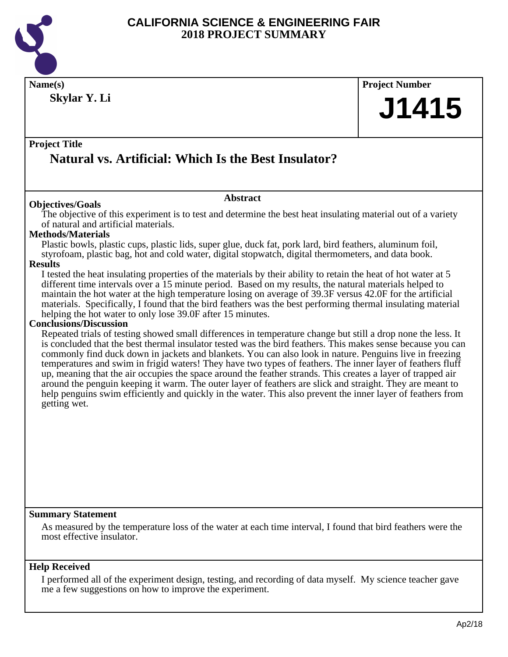

**Name(s) Project Number Skylar Y. Li**

#### **Project Title**

## **Natural vs. Artificial: Which Is the Best Insulator?**

#### **Objectives/Goals**

#### **Abstract**

The objective of this experiment is to test and determine the best heat insulating material out of a variety of natural and artificial materials.

#### **Methods/Materials**

Plastic bowls, plastic cups, plastic lids, super glue, duck fat, pork lard, bird feathers, aluminum foil, styrofoam, plastic bag, hot and cold water, digital stopwatch, digital thermometers, and data book.

#### **Results**

I tested the heat insulating properties of the materials by their ability to retain the heat of hot water at 5 different time intervals over a 15 minute period. Based on my results, the natural materials helped to maintain the hot water at the high temperature losing on average of 39.3F versus 42.0F for the artificial materials. Specifically, I found that the bird feathers was the best performing thermal insulating material helping the hot water to only lose 39.0F after 15 minutes.

#### **Conclusions/Discussion**

Repeated trials of testing showed small differences in temperature change but still a drop none the less. It is concluded that the best thermal insulator tested was the bird feathers. This makes sense because you can commonly find duck down in jackets and blankets. You can also look in nature. Penguins live in freezing temperatures and swim in frigid waters! They have two types of feathers. The inner layer of feathers fluff up, meaning that the air occupies the space around the feather strands. This creates a layer of trapped air around the penguin keeping it warm. The outer layer of feathers are slick and straight. They are meant to help penguins swim efficiently and quickly in the water. This also prevent the inner layer of feathers from getting wet.

#### **Summary Statement**

As measured by the temperature loss of the water at each time interval, I found that bird feathers were the most effective insulator.

#### **Help Received**

I performed all of the experiment design, testing, and recording of data myself. My science teacher gave me a few suggestions on how to improve the experiment.

**J1415**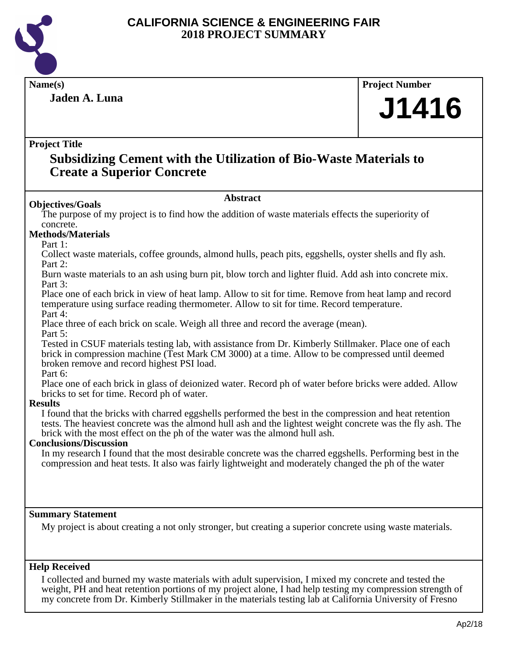

## **Name(s) Project Number**

**Jaden A. Luna**

# **J1416**

#### **Project Title**

## **Subsidizing Cement with the Utilization of Bio-Waste Materials to Create a Superior Concrete**

#### **Abstract**

**Objectives/Goals** The purpose of my project is to find how the addition of waste materials effects the superiority of concrete.

#### **Methods/Materials**

Part 1:

Collect waste materials, coffee grounds, almond hulls, peach pits, eggshells, oyster shells and fly ash. Part 2:

Burn waste materials to an ash using burn pit, blow torch and lighter fluid. Add ash into concrete mix. Part 3:

Place one of each brick in view of heat lamp. Allow to sit for time. Remove from heat lamp and record temperature using surface reading thermometer. Allow to sit for time. Record temperature. Part 4:

Place three of each brick on scale. Weigh all three and record the average (mean).

Part 5:

Tested in CSUF materials testing lab, with assistance from Dr. Kimberly Stillmaker. Place one of each brick in compression machine (Test Mark CM 3000) at a time. Allow to be compressed until deemed broken remove and record highest PSI load.

Part 6:

Place one of each brick in glass of deionized water. Record ph of water before bricks were added. Allow bricks to set for time. Record ph of water.

#### **Results**

I found that the bricks with charred eggshells performed the best in the compression and heat retention tests. The heaviest concrete was the almond hull ash and the lightest weight concrete was the fly ash. The brick with the most effect on the ph of the water was the almond hull ash.

#### **Conclusions/Discussion**

In my research I found that the most desirable concrete was the charred eggshells. Performing best in the compression and heat tests. It also was fairly lightweight and moderately changed the ph of the water

#### **Summary Statement**

My project is about creating a not only stronger, but creating a superior concrete using waste materials.

#### **Help Received**

I collected and burned my waste materials with adult supervision, I mixed my concrete and tested the weight, PH and heat retention portions of my project alone, I had help testing my compression strength of my concrete from Dr. Kimberly Stillmaker in the materials testing lab at California University of Fresno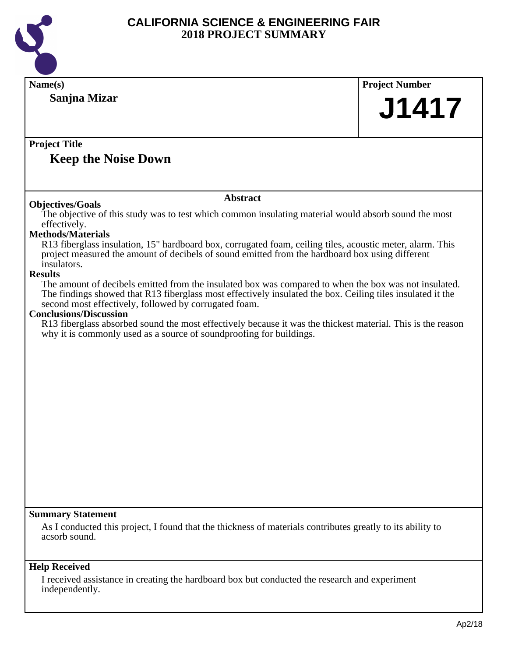

| Name(s)                                                                                                                                                                                                                                                                      | <b>Project Number</b> |
|------------------------------------------------------------------------------------------------------------------------------------------------------------------------------------------------------------------------------------------------------------------------------|-----------------------|
| Sanjna Mizar                                                                                                                                                                                                                                                                 | <b>J1417</b>          |
|                                                                                                                                                                                                                                                                              |                       |
| <b>Project Title</b>                                                                                                                                                                                                                                                         |                       |
| <b>Keep the Noise Down</b>                                                                                                                                                                                                                                                   |                       |
| <b>Abstract</b>                                                                                                                                                                                                                                                              |                       |
| <b>Objectives/Goals</b><br>The objective of this study was to test which common insulating material would absorb sound the most                                                                                                                                              |                       |
| effectively.                                                                                                                                                                                                                                                                 |                       |
| <b>Methods/Materials</b>                                                                                                                                                                                                                                                     |                       |
| R13 fiberglass insulation, 15" hardboard box, corrugated foam, ceiling tiles, acoustic meter, alarm. This<br>project measured the amount of decibels of sound emitted from the hardboard box using different<br>insulators.                                                  |                       |
| <b>Results</b>                                                                                                                                                                                                                                                               |                       |
| The amount of decibels emitted from the insulated box was compared to when the box was not insulated.<br>The findings showed that R13 fiberglass most effectively insulated the box. Ceiling tiles insulated it the<br>second most effectively, followed by corrugated foam. |                       |
| <b>Conclusions/Discussion</b><br>R13 fiberglass absorbed sound the most effectively because it was the thickest material. This is the reason                                                                                                                                 |                       |
| why it is commonly used as a source of sound proofing for buildings.                                                                                                                                                                                                         |                       |
|                                                                                                                                                                                                                                                                              |                       |
|                                                                                                                                                                                                                                                                              |                       |
|                                                                                                                                                                                                                                                                              |                       |
|                                                                                                                                                                                                                                                                              |                       |
|                                                                                                                                                                                                                                                                              |                       |
|                                                                                                                                                                                                                                                                              |                       |
|                                                                                                                                                                                                                                                                              |                       |
|                                                                                                                                                                                                                                                                              |                       |
|                                                                                                                                                                                                                                                                              |                       |
|                                                                                                                                                                                                                                                                              |                       |
|                                                                                                                                                                                                                                                                              |                       |
|                                                                                                                                                                                                                                                                              |                       |
| <b>Summary Statement</b>                                                                                                                                                                                                                                                     |                       |
| As I conducted this project, I found that the thickness of materials contributes greatly to its ability to<br>acsorb sound.                                                                                                                                                  |                       |
| <b>Help Received</b>                                                                                                                                                                                                                                                         |                       |
| I received assistance in creating the hardboard box but conducted the research and experiment<br>independently.                                                                                                                                                              |                       |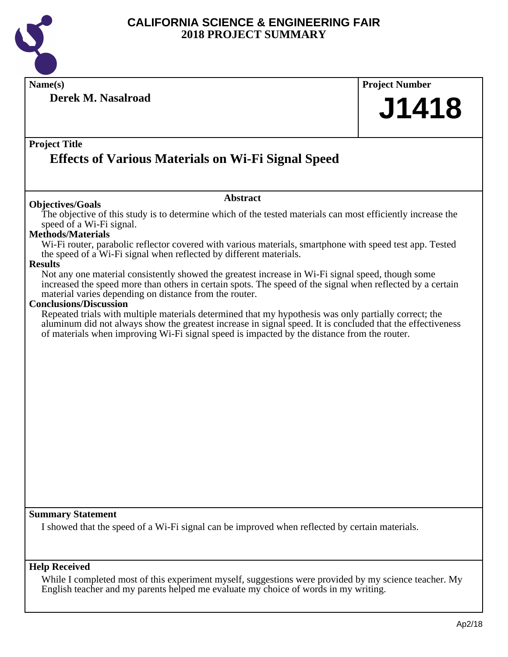

**Name(s) Project Number Project Title Abstract Summary Statement Help Received Derek M. Nasalroad Effects of Various Materials on Wi-Fi Signal Speed J1418 Objectives/Goals** The objective of this study is to determine which of the tested materials can most efficiently increase the speed of a Wi-Fi signal. **Methods/Materials** Wi-Fi router, parabolic reflector covered with various materials, smartphone with speed test app. Tested the speed of a Wi-Fi signal when reflected by different materials. **Results** Not any one material consistently showed the greatest increase in Wi-Fi signal speed, though some increased the speed more than others in certain spots. The speed of the signal when reflected by a certain material varies depending on distance from the router. **Conclusions/Discussion** Repeated trials with multiple materials determined that my hypothesis was only partially correct; the aluminum did not always show the greatest increase in signal speed. It is concluded that the effectiveness of materials when improving Wi-Fi signal speed is impacted by the distance from the router. I showed that the speed of a Wi-Fi signal can be improved when reflected by certain materials. While I completed most of this experiment myself, suggestions were provided by my science teacher. My

English teacher and my parents helped me evaluate my choice of words in my writing.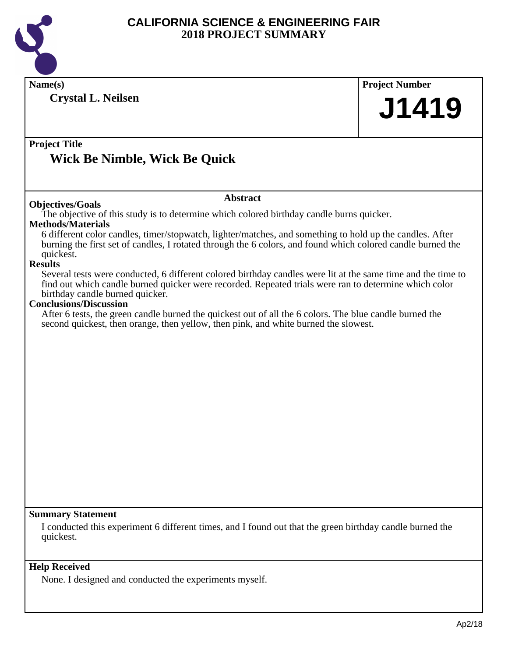

| Name(s)                                                                                                                  | <b>Project Number</b> |
|--------------------------------------------------------------------------------------------------------------------------|-----------------------|
| <b>Crystal L. Neilsen</b>                                                                                                | J1419                 |
|                                                                                                                          |                       |
|                                                                                                                          |                       |
| <b>Project Title</b>                                                                                                     |                       |
| Wick Be Nimble, Wick Be Quick                                                                                            |                       |
|                                                                                                                          |                       |
|                                                                                                                          |                       |
| <b>Abstract</b>                                                                                                          |                       |
| <b>Objectives/Goals</b><br>The objective of this study is to determine which colored birthday candle burns quicker.      |                       |
| <b>Methods/Materials</b>                                                                                                 |                       |
| 6 different color candles, timer/stopwatch, lighter/matches, and something to hold up the candles. After                 |                       |
| burning the first set of candles, I rotated through the 6 colors, and found which colored candle burned the<br>quickest. |                       |
| <b>Results</b>                                                                                                           |                       |
| Several tests were conducted, 6 different colored birthday candles were lit at the same time and the time to             |                       |
| find out which candle burned quicker were recorded. Repeated trials were ran to determine which color                    |                       |
| birthday candle burned quicker.<br><b>Conclusions/Discussion</b>                                                         |                       |
| After 6 tests, the green candle burned the quickest out of all the 6 colors. The blue candle burned the                  |                       |
| second quickest, then orange, then yellow, then pink, and white burned the slowest.                                      |                       |
|                                                                                                                          |                       |
|                                                                                                                          |                       |
|                                                                                                                          |                       |
|                                                                                                                          |                       |
|                                                                                                                          |                       |
|                                                                                                                          |                       |
|                                                                                                                          |                       |
|                                                                                                                          |                       |
|                                                                                                                          |                       |
|                                                                                                                          |                       |
|                                                                                                                          |                       |
|                                                                                                                          |                       |
|                                                                                                                          |                       |
| <b>Summary Statement</b>                                                                                                 |                       |
| I conducted this experiment 6 different times, and I found out that the green birthday candle burned the                 |                       |
| quickest.                                                                                                                |                       |
|                                                                                                                          |                       |
| <b>Help Received</b>                                                                                                     |                       |
| None. I designed and conducted the experiments myself.                                                                   |                       |
|                                                                                                                          |                       |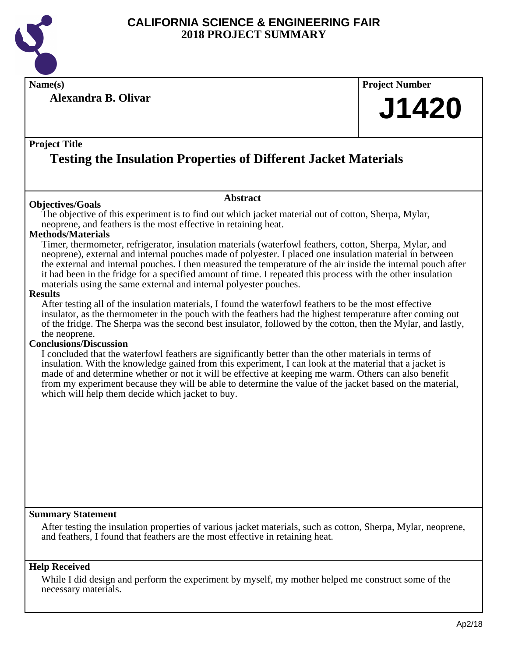

**Name(s) Project Number**

**Alexandra B. Olivar**

# **J1420**

#### **Project Title**

## **Testing the Insulation Properties of Different Jacket Materials**

#### **Objectives/Goals**

The objective of this experiment is to find out which jacket material out of cotton, Sherpa, Mylar, neoprene, and feathers is the most effective in retaining heat.

**Abstract**

#### **Methods/Materials**

Timer, thermometer, refrigerator, insulation materials (waterfowl feathers, cotton, Sherpa, Mylar, and neoprene), external and internal pouches made of polyester. I placed one insulation material in between the external and internal pouches. I then measured the temperature of the air inside the internal pouch after it had been in the fridge for a specified amount of time. I repeated this process with the other insulation materials using the same external and internal polyester pouches.

#### **Results**

After testing all of the insulation materials, I found the waterfowl feathers to be the most effective insulator, as the thermometer in the pouch with the feathers had the highest temperature after coming out of the fridge. The Sherpa was the second best insulator, followed by the cotton, then the Mylar, and lastly, the neoprene.

#### **Conclusions/Discussion**

I concluded that the waterfowl feathers are significantly better than the other materials in terms of insulation. With the knowledge gained from this experiment, I can look at the material that a jacket is made of and determine whether or not it will be effective at keeping me warm. Others can also benefit from my experiment because they will be able to determine the value of the jacket based on the material, which will help them decide which jacket to buy.

#### **Summary Statement**

After testing the insulation properties of various jacket materials, such as cotton, Sherpa, Mylar, neoprene, and feathers, I found that feathers are the most effective in retaining heat.

#### **Help Received**

While I did design and perform the experiment by myself, my mother helped me construct some of the necessary materials.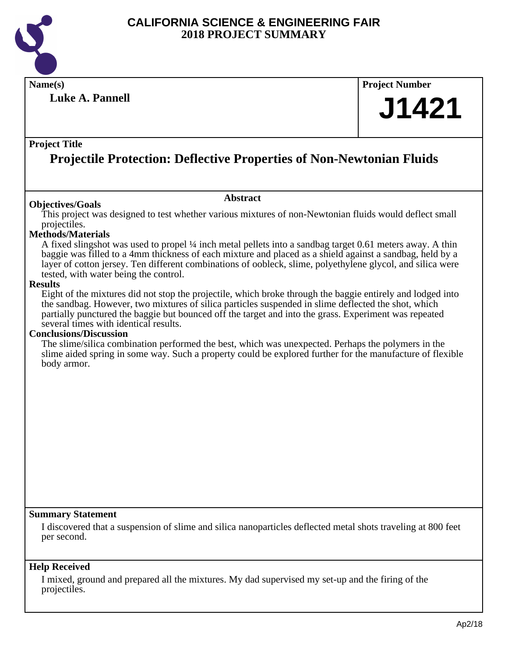

**Luke A. Pannell**

## **Name(s) Project Number J1421**

#### **Project Title**

## **Projectile Protection: Deflective Properties of Non-Newtonian Fluids**

#### **Abstract**

**Objectives/Goals** This project was designed to test whether various mixtures of non-Newtonian fluids would deflect small projectiles.

#### **Methods/Materials**

A fixed slingshot was used to propel ¼ inch metal pellets into a sandbag target 0.61 meters away. A thin baggie was filled to a 4mm thickness of each mixture and placed as a shield against a sandbag, held by a layer of cotton jersey. Ten different combinations of oobleck, slime, polyethylene glycol, and silica were tested, with water being the control.

#### **Results**

Eight of the mixtures did not stop the projectile, which broke through the baggie entirely and lodged into the sandbag. However, two mixtures of silica particles suspended in slime deflected the shot, which partially punctured the baggie but bounced off the target and into the grass. Experiment was repeated several times with identical results.

#### **Conclusions/Discussion**

The slime/silica combination performed the best, which was unexpected. Perhaps the polymers in the slime aided spring in some way. Such a property could be explored further for the manufacture of flexible body armor.

#### **Summary Statement**

I discovered that a suspension of slime and silica nanoparticles deflected metal shots traveling at 800 feet per second.

#### **Help Received**

I mixed, ground and prepared all the mixtures. My dad supervised my set-up and the firing of the projectiles.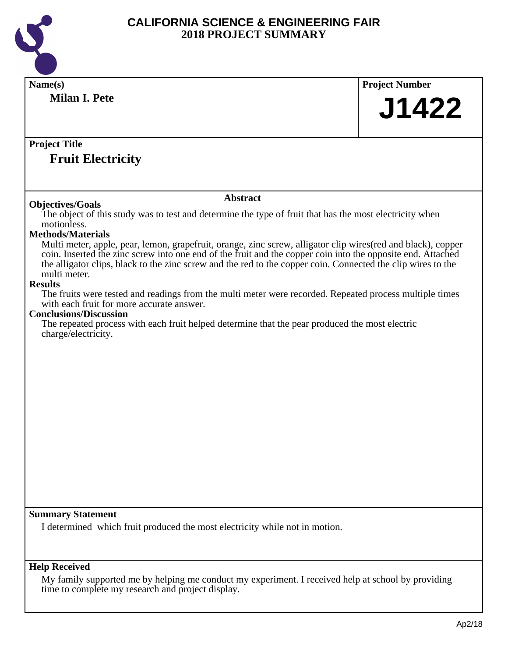

| Name(s)                                                                                                                   | <b>Project Number</b> |
|---------------------------------------------------------------------------------------------------------------------------|-----------------------|
| <b>Milan I. Pete</b>                                                                                                      |                       |
|                                                                                                                           | J1422                 |
|                                                                                                                           |                       |
|                                                                                                                           |                       |
| <b>Project Title</b>                                                                                                      |                       |
| <b>Fruit Electricity</b>                                                                                                  |                       |
|                                                                                                                           |                       |
|                                                                                                                           |                       |
| <b>Abstract</b>                                                                                                           |                       |
| <b>Objectives/Goals</b>                                                                                                   |                       |
| The object of this study was to test and determine the type of fruit that has the most electricity when<br>motionless.    |                       |
| <b>Methods/Materials</b>                                                                                                  |                       |
| Multi meter, apple, pear, lemon, grapefruit, orange, zinc screw, alligator clip wires (red and black), copper             |                       |
| coin. Inserted the zinc screw into one end of the fruit and the copper coin into the opposite end. Attached               |                       |
| the alligator clips, black to the zinc screw and the red to the copper coin. Connected the clip wires to the              |                       |
| multi meter.                                                                                                              |                       |
| <b>Results</b><br>The fruits were tested and readings from the multi meter were recorded. Repeated process multiple times |                       |
| with each fruit for more accurate answer.                                                                                 |                       |
| <b>Conclusions/Discussion</b>                                                                                             |                       |
| The repeated process with each fruit helped determine that the pear produced the most electric                            |                       |
| charge/electricity.                                                                                                       |                       |
|                                                                                                                           |                       |
|                                                                                                                           |                       |
|                                                                                                                           |                       |
|                                                                                                                           |                       |
|                                                                                                                           |                       |
|                                                                                                                           |                       |
|                                                                                                                           |                       |
|                                                                                                                           |                       |
|                                                                                                                           |                       |
|                                                                                                                           |                       |
|                                                                                                                           |                       |
|                                                                                                                           |                       |
|                                                                                                                           |                       |
|                                                                                                                           |                       |
| <b>Summary Statement</b>                                                                                                  |                       |
| I determined which fruit produced the most electricity while not in motion.                                               |                       |
|                                                                                                                           |                       |
|                                                                                                                           |                       |
| <b>Help Received</b>                                                                                                      |                       |
| My family supported me by helping me conduct my experiment. I received help at school by providing                        |                       |
| time to complete my research and project display.                                                                         |                       |
|                                                                                                                           |                       |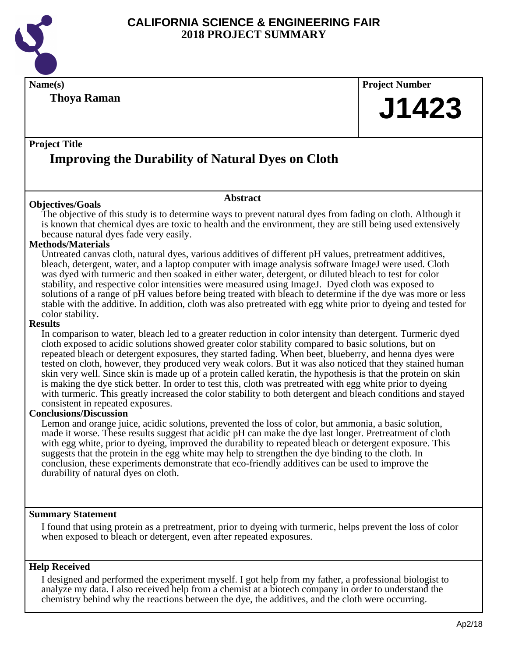

#### **Thoya Raman**

## **Name(s) Project Number J1423**

#### **Project Title**

## **Improving the Durability of Natural Dyes on Cloth**

#### **Objectives/Goals**

The objective of this study is to determine ways to prevent natural dyes from fading on cloth. Although it is known that chemical dyes are toxic to health and the environment, they are still being used extensively because natural dyes fade very easily.

**Abstract**

#### **Methods/Materials**

Untreated canvas cloth, natural dyes, various additives of different pH values, pretreatment additives, bleach, detergent, water, and a laptop computer with image analysis software ImageJ were used. Cloth was dyed with turmeric and then soaked in either water, detergent, or diluted bleach to test for color stability, and respective color intensities were measured using ImageJ. Dyed cloth was exposed to solutions of a range of pH values before being treated with bleach to determine if the dye was more or less stable with the additive. In addition, cloth was also pretreated with egg white prior to dyeing and tested for color stability.

#### **Results**

In comparison to water, bleach led to a greater reduction in color intensity than detergent. Turmeric dyed cloth exposed to acidic solutions showed greater color stability compared to basic solutions, but on repeated bleach or detergent exposures, they started fading. When beet, blueberry, and henna dyes were tested on cloth, however, they produced very weak colors. But it was also noticed that they stained human skin very well. Since skin is made up of a protein called keratin, the hypothesis is that the protein on skin is making the dye stick better. In order to test this, cloth was pretreated with egg white prior to dyeing with turmeric. This greatly increased the color stability to both detergent and bleach conditions and stayed consistent in repeated exposures.

#### **Conclusions/Discussion**

Lemon and orange juice, acidic solutions, prevented the loss of color, but ammonia, a basic solution, made it worse. These results suggest that acidic pH can make the dye last longer. Pretreatment of cloth with egg white, prior to dyeing, improved the durability to repeated bleach or detergent exposure. This suggests that the protein in the egg white may help to strengthen the dye binding to the cloth. In conclusion, these experiments demonstrate that eco-friendly additives can be used to improve the durability of natural dyes on cloth.

#### **Summary Statement**

I found that using protein as a pretreatment, prior to dyeing with turmeric, helps prevent the loss of color when exposed to bleach or detergent, even after repeated exposures.

#### **Help Received**

I designed and performed the experiment myself. I got help from my father, a professional biologist to analyze my data. I also received help from a chemist at a biotech company in order to understand the chemistry behind why the reactions between the dye, the additives, and the cloth were occurring.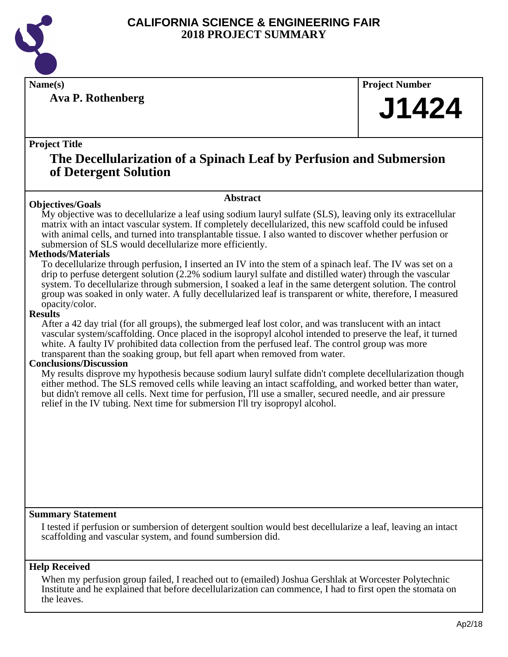

**Ava P. Rothenberg**

**Name(s) Project Number**

## **J1424**

#### **Project Title**

## **The Decellularization of a Spinach Leaf by Perfusion and Submersion of Detergent Solution**

#### **Abstract**

**Objectives/Goals** My objective was to decellularize a leaf using sodium lauryl sulfate (SLS), leaving only its extracellular matrix with an intact vascular system. If completely decellularized, this new scaffold could be infused with animal cells, and turned into transplantable tissue. I also wanted to discover whether perfusion or submersion of SLS would decellularize more efficiently.

#### **Methods/Materials**

To decellularize through perfusion, I inserted an IV into the stem of a spinach leaf. The IV was set on a drip to perfuse detergent solution (2.2% sodium lauryl sulfate and distilled water) through the vascular system. To decellularize through submersion, I soaked a leaf in the same detergent solution. The control group was soaked in only water. A fully decellularized leaf is transparent or white, therefore, I measured opacity/color.

#### **Results**

After a 42 day trial (for all groups), the submerged leaf lost color, and was translucent with an intact vascular system/scaffolding. Once placed in the isopropyl alcohol intended to preserve the leaf, it turned white. A faulty IV prohibited data collection from the perfused leaf. The control group was more transparent than the soaking group, but fell apart when removed from water.

#### **Conclusions/Discussion**

My results disprove my hypothesis because sodium lauryl sulfate didn't complete decellularization though either method. The SLS removed cells while leaving an intact scaffolding, and worked better than water, but didn't remove all cells. Next time for perfusion, I'll use a smaller, secured needle, and air pressure relief in the IV tubing. Next time for submersion I'll try isopropyl alcohol.

#### **Summary Statement**

I tested if perfusion or sumbersion of detergent soultion would best decellularize a leaf, leaving an intact scaffolding and vascular system, and found sumbersion did.

#### **Help Received**

When my perfusion group failed, I reached out to (emailed) Joshua Gershlak at Worcester Polytechnic Institute and he explained that before decellularization can commence, I had to first open the stomata on the leaves.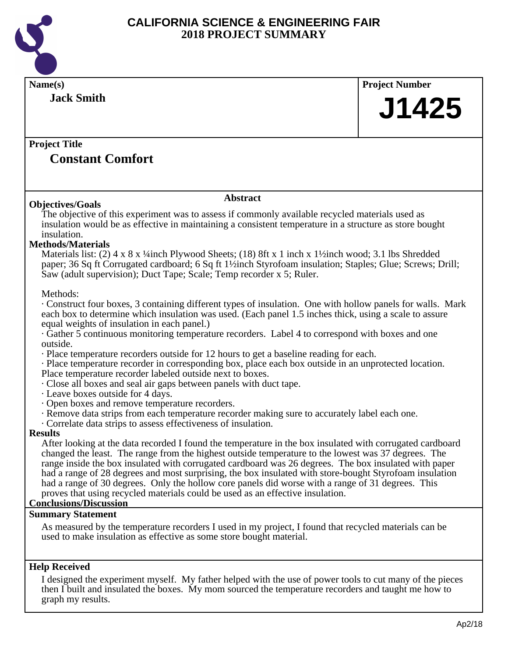

| Name(s)                                                                                                                                                                                                                                                                                                                                                                                                                                                                                                                                                                                                                                                      | <b>Project Number</b> |
|--------------------------------------------------------------------------------------------------------------------------------------------------------------------------------------------------------------------------------------------------------------------------------------------------------------------------------------------------------------------------------------------------------------------------------------------------------------------------------------------------------------------------------------------------------------------------------------------------------------------------------------------------------------|-----------------------|
| <b>Jack Smith</b>                                                                                                                                                                                                                                                                                                                                                                                                                                                                                                                                                                                                                                            |                       |
|                                                                                                                                                                                                                                                                                                                                                                                                                                                                                                                                                                                                                                                              | J1425                 |
|                                                                                                                                                                                                                                                                                                                                                                                                                                                                                                                                                                                                                                                              |                       |
| <b>Project Title</b>                                                                                                                                                                                                                                                                                                                                                                                                                                                                                                                                                                                                                                         |                       |
| <b>Constant Comfort</b>                                                                                                                                                                                                                                                                                                                                                                                                                                                                                                                                                                                                                                      |                       |
|                                                                                                                                                                                                                                                                                                                                                                                                                                                                                                                                                                                                                                                              |                       |
| <b>Abstract</b><br><b>Objectives/Goals</b>                                                                                                                                                                                                                                                                                                                                                                                                                                                                                                                                                                                                                   |                       |
| The objective of this experiment was to assess if commonly available recycled materials used as<br>insulation would be as effective in maintaining a consistent temperature in a structure as store bought<br>insulation.                                                                                                                                                                                                                                                                                                                                                                                                                                    |                       |
| <b>Methods/Materials</b><br>Materials list: (2) $4 \times 8 \times 1/4$ inch Plywood Sheets; (18) 8ft x 1 inch x 1 $\frac{1}{2}$ inch wood; 3.1 lbs Shredded<br>paper; 36 Sq ft Corrugated cardboard; 6 Sq ft 1 <sup>1</sup> /2inch Styrofoam insulation; Staples; Glue; Screws; Drill;<br>Saw (adult supervision); Duct Tape; Scale; Temp recorder x 5; Ruler.                                                                                                                                                                                                                                                                                              |                       |
| Methods:                                                                                                                                                                                                                                                                                                                                                                                                                                                                                                                                                                                                                                                     |                       |
| · Construct four boxes, 3 containing different types of insulation. One with hollow panels for walls. Mark<br>each box to determine which insulation was used. (Each panel 1.5 inches thick, using a scale to assure<br>equal weights of insulation in each panel.)<br>Gather 5 continuous monitoring temperature recorders. Label 4 to correspond with boxes and one                                                                                                                                                                                                                                                                                        |                       |
| outside.<br>· Place temperature recorders outside for 12 hours to get a baseline reading for each.<br>· Place temperature recorder in corresponding box, place each box outside in an unprotected location.<br>Place temperature recorder labeled outside next to boxes.                                                                                                                                                                                                                                                                                                                                                                                     |                       |
| Close all boxes and seal air gaps between panels with duct tape.<br>· Leave boxes outside for 4 days.                                                                                                                                                                                                                                                                                                                                                                                                                                                                                                                                                        |                       |
| Open boxes and remove temperature recorders.<br>· Remove data strips from each temperature recorder making sure to accurately label each one.                                                                                                                                                                                                                                                                                                                                                                                                                                                                                                                |                       |
| Correlate data strips to assess effectiveness of insulation.<br><b>Results</b>                                                                                                                                                                                                                                                                                                                                                                                                                                                                                                                                                                               |                       |
| After looking at the data recorded I found the temperature in the box insulated with corrugated cardboard<br>changed the least. The range from the highest outside temperature to the lowest was 37 degrees. The<br>range inside the box insulated with corrugated cardboard was 26 degrees. The box insulated with paper<br>had a range of 28 degrees and most surprising, the box insulated with store-bought Styrofoam insulation<br>had a range of 30 degrees. Only the hollow core panels did worse with a range of 31 degrees. This<br>proves that using recycled materials could be used as an effective insulation.<br><b>Conclusions/Discussion</b> |                       |
| <b>Summary Statement</b>                                                                                                                                                                                                                                                                                                                                                                                                                                                                                                                                                                                                                                     |                       |
| As measured by the temperature recorders I used in my project, I found that recycled materials can be<br>used to make insulation as effective as some store bought material.                                                                                                                                                                                                                                                                                                                                                                                                                                                                                 |                       |
| <b>Help Received</b>                                                                                                                                                                                                                                                                                                                                                                                                                                                                                                                                                                                                                                         |                       |
| I designed the experiment myself. My father helped with the use of power tools to cut many of the pieces<br>then I built and insulated the boxes. My mom sourced the temperature recorders and taught me how to<br>graph my results.                                                                                                                                                                                                                                                                                                                                                                                                                         |                       |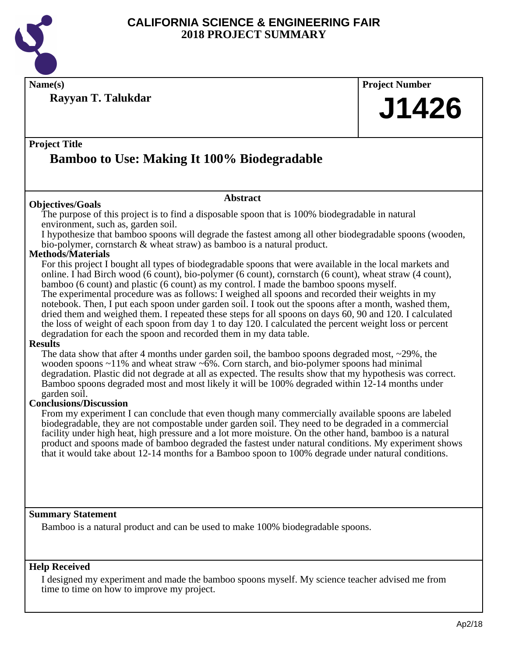

**Name(s) Project Number**

**Rayyan T. Talukdar**

#### **Project Title**

## **Bamboo to Use: Making It 100% Biodegradable**

#### **Objectives/Goals**

**Abstract**

The purpose of this project is to find a disposable spoon that is 100% biodegradable in natural environment, such as, garden soil.

I hypothesize that bamboo spoons will degrade the fastest among all other biodegradable spoons (wooden, bio-polymer, cornstarch & wheat straw) as bamboo is a natural product.

#### **Methods/Materials**

For this project I bought all types of biodegradable spoons that were available in the local markets and online. I had Birch wood (6 count), bio-polymer (6 count), cornstarch (6 count), wheat straw (4 count), bamboo (6 count) and plastic (6 count) as my control. I made the bamboo spoons myself. The experimental procedure was as follows: I weighed all spoons and recorded their weights in my notebook. Then, I put each spoon under garden soil. I took out the spoons after a month, washed them, dried them and weighed them. I repeated these steps for all spoons on days 60, 90 and 120. I calculated the loss of weight of each spoon from day 1 to day 120. I calculated the percent weight loss or percent degradation for each the spoon and recorded them in my data table.

#### **Results**

The data show that after 4 months under garden soil, the bamboo spoons degraded most,  $\sim$ 29%, the wooden spoons  $\sim$ 11% and wheat straw  $\sim$ 6%. Corn starch, and bio-polymer spoons had minimal degradation. Plastic did not degrade at all as expected. The results show that my hypothesis was correct. Bamboo spoons degraded most and most likely it will be 100% degraded within 12-14 months under garden soil.

#### **Conclusions/Discussion**

From my experiment I can conclude that even though many commercially available spoons are labeled biodegradable, they are not compostable under garden soil. They need to be degraded in a commercial facility under high heat, high pressure and a lot more moisture. On the other hand, bamboo is a natural product and spoons made of bamboo degraded the fastest under natural conditions. My experiment shows that it would take about 12-14 months for a Bamboo spoon to 100% degrade under natural conditions.

#### **Summary Statement**

Bamboo is a natural product and can be used to make 100% biodegradable spoons.

#### **Help Received**

I designed my experiment and made the bamboo spoons myself. My science teacher advised me from time to time on how to improve my project.

**J1426**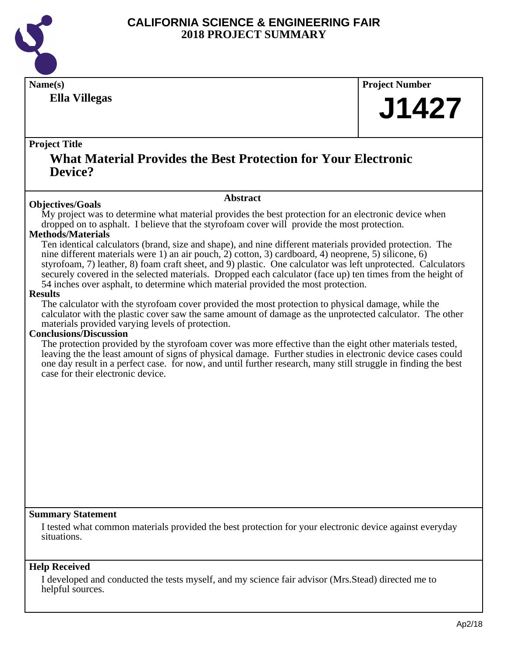

**Ella Villegas**

**Name(s) Project Number**

## **J1427**

#### **Project Title**

## **What Material Provides the Best Protection for Your Electronic Device?**

#### **Abstract**

**Objectives/Goals** My project was to determine what material provides the best protection for an electronic device when dropped on to asphalt. I believe that the styrofoam cover will provide the most protection.

#### **Methods/Materials**

Ten identical calculators (brand, size and shape), and nine different materials provided protection. The nine different materials were 1) an air pouch, 2) cotton, 3) cardboard, 4) neoprene, 5) silicone, 6) styrofoam, 7) leather, 8) foam craft sheet, and 9) plastic. One calculator was left unprotected. Calculators securely covered in the selected materials. Dropped each calculator (face up) ten times from the height of 54 inches over asphalt, to determine which material provided the most protection.

#### **Results**

The calculator with the styrofoam cover provided the most protection to physical damage, while the calculator with the plastic cover saw the same amount of damage as the unprotected calculator. The other materials provided varying levels of protection.

#### **Conclusions/Discussion**

The protection provided by the styrofoam cover was more effective than the eight other materials tested, leaving the the least amount of signs of physical damage. Further studies in electronic device cases could one day result in a perfect case. for now, and until further research, many still struggle in finding the best case for their electronic device.

#### **Summary Statement**

I tested what common materials provided the best protection for your electronic device against everyday situations.

#### **Help Received**

I developed and conducted the tests myself, and my science fair advisor (Mrs.Stead) directed me to helpful sources.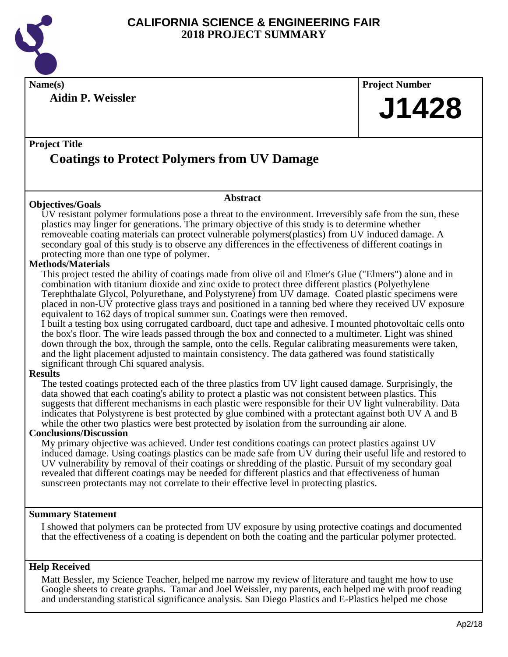

**Name(s) Project Number**

**Aidin P. Weissler**

**J1428**

### **Project Title Coatings to Protect Polymers from UV Damage**

#### **Objectives/Goals**

UV resistant polymer formulations pose a threat to the environment. Irreversibly safe from the sun, these plastics may linger for generations. The primary objective of this study is to determine whether removeable coating materials can protect vulnerable polymers(plastics) from UV induced damage. A secondary goal of this study is to observe any differences in the effectiveness of different coatings in protecting more than one type of polymer.

**Abstract**

#### **Methods/Materials**

This project tested the ability of coatings made from olive oil and Elmer's Glue ("Elmers") alone and in combination with titanium dioxide and zinc oxide to protect three different plastics (Polyethylene Terephthalate Glycol, Polyurethane, and Polystyrene) from UV damage. Coated plastic specimens were placed in non-UV protective glass trays and positioned in a tanning bed where they received UV exposure equivalent to 162 days of tropical summer sun. Coatings were then removed.

I built a testing box using corrugated cardboard, duct tape and adhesive. I mounted photovoltaic cells onto the box's floor. The wire leads passed through the box and connected to a multimeter. Light was shined down through the box, through the sample, onto the cells. Regular calibrating measurements were taken, and the light placement adjusted to maintain consistency. The data gathered was found statistically significant through Chi squared analysis.

#### **Results**

The tested coatings protected each of the three plastics from UV light caused damage. Surprisingly, the data showed that each coating's ability to protect a plastic was not consistent between plastics. This suggests that different mechanisms in each plastic were responsible for their UV light vulnerability. Data indicates that Polystyrene is best protected by glue combined with a protectant against both UV A and B while the other two plastics were best protected by isolation from the surrounding air alone.

#### **Conclusions/Discussion**

My primary objective was achieved. Under test conditions coatings can protect plastics against UV induced damage. Using coatings plastics can be made safe from UV during their useful life and restored to UV vulnerability by removal of their coatings or shredding of the plastic. Pursuit of my secondary goal revealed that different coatings may be needed for different plastics and that effectiveness of human sunscreen protectants may not correlate to their effective level in protecting plastics.

#### **Summary Statement**

I showed that polymers can be protected from UV exposure by using protective coatings and documented that the effectiveness of a coating is dependent on both the coating and the particular polymer protected.

#### **Help Received**

Matt Bessler, my Science Teacher, helped me narrow my review of literature and taught me how to use Google sheets to create graphs. Tamar and Joel Weissler, my parents, each helped me with proof reading and understanding statistical significance analysis. San Diego Plastics and E-Plastics helped me chose